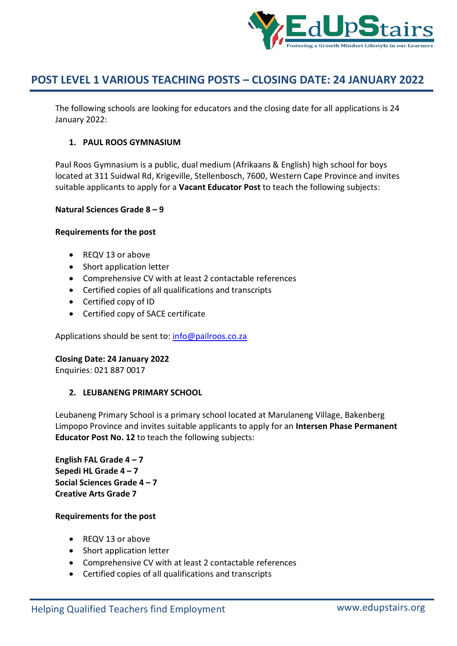

The following schools are looking for educators and the closing date for all applications is 24 January 2022:

# **1. PAUL ROOS GYMNASIUM**

Paul Roos Gymnasium is a public, dual medium (Afrikaans & English) high school for boys located at 311 Suidwal Rd, Krigeville, Stellenbosch, 7600, Western Cape Province and invites suitable applicants to apply for a **Vacant Educator Post** to teach the following subjects:

# **Natural Sciences Grade 8 – 9**

# **Requirements for the post**

- REQV 13 or above
- Short application letter
- Comprehensive CV with at least 2 contactable references
- Certified copies of all qualifications and transcripts
- Certified copy of ID
- Certified copy of SACE certificate

Applications should be sent to: info@pailroos.co.za

#### **Closing Date: 24 January 2022**

Enquiries: 021 887 0017

# **2. LEUBANENG PRIMARY SCHOOL**

Leubaneng Primary School is a primary school located at Marulaneng Village, Bakenberg Limpopo Province and invites suitable applicants to apply for an **Intersen Phase Permanent Educator Post No. 12** to teach the following subjects:

**English FAL Grade 4 – 7 Sepedi HL Grade 4 – 7 Social Sciences Grade 4 – 7 Creative Arts Grade 7**

- REQV 13 or above
- Short application letter
- Comprehensive CV with at least 2 contactable references
- Certified copies of all qualifications and transcripts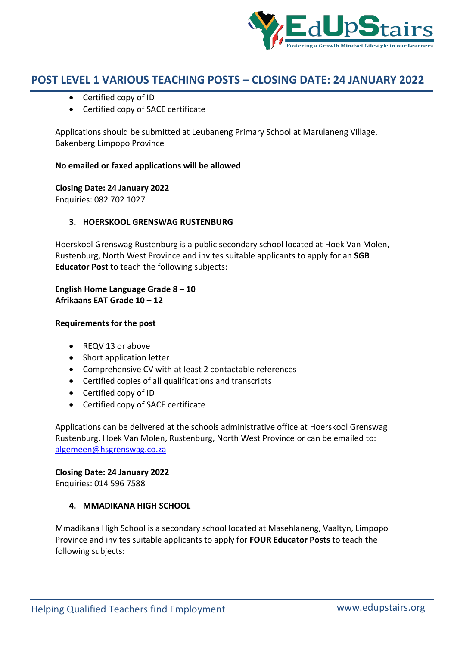

- Certified copy of ID
- Certified copy of SACE certificate

Applications should be submitted at Leubaneng Primary School at Marulaneng Village, Bakenberg Limpopo Province

# **No emailed or faxed applications will be allowed**

**Closing Date: 24 January 2022** Enquiries: 082 702 1027

# **3. HOERSKOOL GRENSWAG RUSTENBURG**

Hoerskool Grenswag Rustenburg is a public secondary school located at Hoek Van Molen, Rustenburg, North West Province and invites suitable applicants to apply for an **SGB Educator Post** to teach the following subjects:

**English Home Language Grade 8 – 10 Afrikaans EAT Grade 10 – 12**

# **Requirements for the post**

- REQV 13 or above
- Short application letter
- Comprehensive CV with at least 2 contactable references
- Certified copies of all qualifications and transcripts
- Certified copy of ID
- Certified copy of SACE certificate

Applications can be delivered at the schools administrative office at Hoerskool Grenswag Rustenburg, Hoek Van Molen, Rustenburg, North West Province or can be emailed to: algemeen@hsgrenswag.co.za

**Closing Date: 24 January 2022**

Enquiries: 014 596 7588

# **4. MMADIKANA HIGH SCHOOL**

Mmadikana High School is a secondary school located at Masehlaneng, Vaaltyn, Limpopo Province and invites suitable applicants to apply for **FOUR Educator Posts** to teach the following subjects: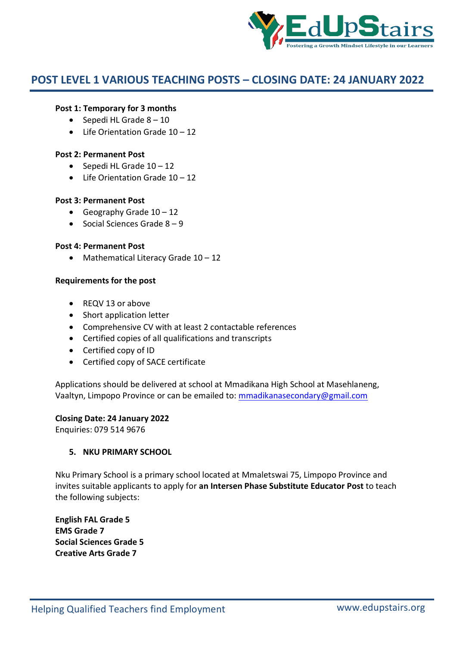

#### **Post 1: Temporary for 3 months**

- $\bullet$  Sepedi HL Grade  $8 10$
- $\bullet$  Life Orientation Grade 10 12

#### **Post 2: Permanent Post**

- $\bullet$  Sepedi HL Grade  $10 12$
- $\bullet$  Life Orientation Grade  $10 12$

#### **Post 3: Permanent Post**

- Geography Grade  $10 12$
- Social Sciences Grade  $8 9$

#### **Post 4: Permanent Post**

• Mathematical Literacy Grade 10 - 12

#### **Requirements for the post**

- REQV 13 or above
- Short application letter
- Comprehensive CV with at least 2 contactable references
- Certified copies of all qualifications and transcripts
- Certified copy of ID
- Certified copy of SACE certificate

Applications should be delivered at school at Mmadikana High School at Masehlaneng, Vaaltyn, Limpopo Province or can be emailed to: mmadikanasecondary@gmail.com

#### **Closing Date: 24 January 2022**

Enquiries: 079 514 9676

#### **5. NKU PRIMARY SCHOOL**

Nku Primary School is a primary school located at Mmaletswai 75, Limpopo Province and invites suitable applicants to apply for **an Intersen Phase Substitute Educator Post** to teach the following subjects:

**English FAL Grade 5 EMS Grade 7 Social Sciences Grade 5 Creative Arts Grade 7**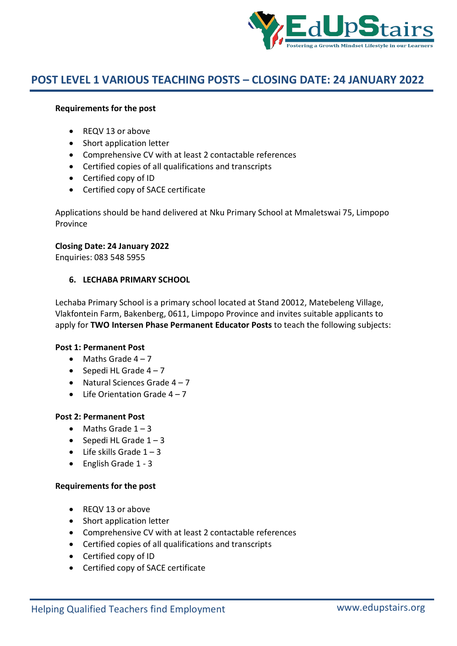

# **Requirements for the post**

- REQV 13 or above
- Short application letter
- Comprehensive CV with at least 2 contactable references
- Certified copies of all qualifications and transcripts
- Certified copy of ID
- Certified copy of SACE certificate

Applications should be hand delivered at Nku Primary School at Mmaletswai 75, Limpopo Province

# **Closing Date: 24 January 2022**

Enquiries: 083 548 5955

# **6. LECHABA PRIMARY SCHOOL**

Lechaba Primary School is a primary school located at Stand 20012, Matebeleng Village, Vlakfontein Farm, Bakenberg, 0611, Limpopo Province and invites suitable applicants to apply for **TWO Intersen Phase Permanent Educator Posts** to teach the following subjects:

# **Post 1: Permanent Post**

- $\bullet$  Maths Grade 4 7
- Sepedi HL Grade  $4 7$
- Natural Sciences Grade  $4 7$
- $\bullet$  Life Orientation Grade  $4 7$

# **Post 2: Permanent Post**

- $\bullet$  Maths Grade  $1 3$
- $\bullet$  Sepedi HL Grade  $1 3$
- $\bullet$  Life skills Grade  $1 3$
- English Grade 1 3

- REQV 13 or above
- Short application letter
- Comprehensive CV with at least 2 contactable references
- Certified copies of all qualifications and transcripts
- Certified copy of ID
- Certified copy of SACE certificate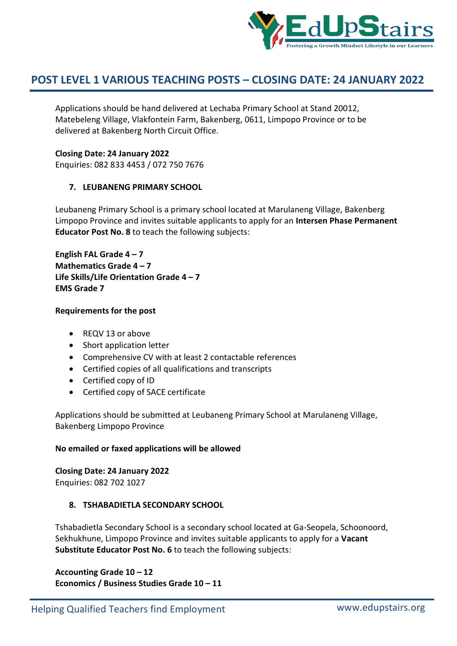

Applications should be hand delivered at Lechaba Primary School at Stand 20012, Matebeleng Village, Vlakfontein Farm, Bakenberg, 0611, Limpopo Province or to be delivered at Bakenberg North Circuit Office.

# **Closing Date: 24 January 2022**

Enquiries: 082 833 4453 / 072 750 7676

# **7. LEUBANENG PRIMARY SCHOOL**

Leubaneng Primary School is a primary school located at Marulaneng Village, Bakenberg Limpopo Province and invites suitable applicants to apply for an **Intersen Phase Permanent Educator Post No. 8** to teach the following subjects:

**English FAL Grade 4 – 7 Mathematics Grade 4 – 7 Life Skills/Life Orientation Grade 4 – 7 EMS Grade 7**

# **Requirements for the post**

- REQV 13 or above
- Short application letter
- Comprehensive CV with at least 2 contactable references
- Certified copies of all qualifications and transcripts
- Certified copy of ID
- Certified copy of SACE certificate

Applications should be submitted at Leubaneng Primary School at Marulaneng Village, Bakenberg Limpopo Province

# **No emailed or faxed applications will be allowed**

# **Closing Date: 24 January 2022**

Enquiries: 082 702 1027

# **8. TSHABADIETLA SECONDARY SCHOOL**

Tshabadietla Secondary School is a secondary school located at Ga-Seopela, Schoonoord, Sekhukhune, Limpopo Province and invites suitable applicants to apply for a **Vacant Substitute Educator Post No. 6** to teach the following subjects:

**Accounting Grade 10 – 12 Economics / Business Studies Grade 10 – 11**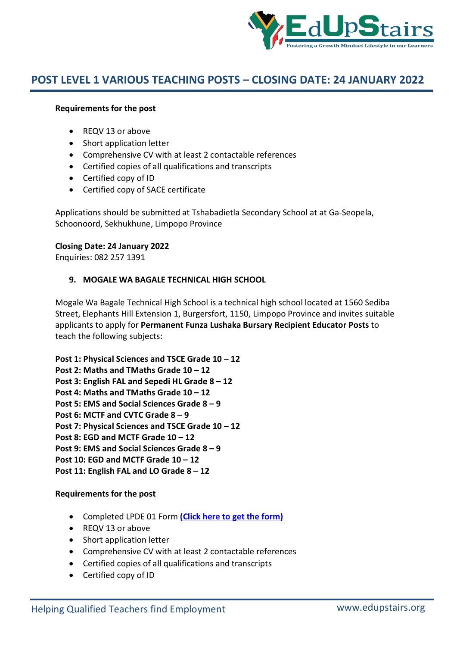

#### **Requirements for the post**

- REQV 13 or above
- Short application letter
- Comprehensive CV with at least 2 contactable references
- Certified copies of all qualifications and transcripts
- Certified copy of ID
- Certified copy of SACE certificate

Applications should be submitted at Tshabadietla Secondary School at at Ga-Seopela, Schoonoord, Sekhukhune, Limpopo Province

#### **Closing Date: 24 January 2022**

Enquiries: 082 257 1391

#### **9. MOGALE WA BAGALE TECHNICAL HIGH SCHOOL**

Mogale Wa Bagale Technical High School is a technical high school located at 1560 Sediba Street, Elephants Hill Extension 1, Burgersfort, 1150, Limpopo Province and invites suitable applicants to apply for **Permanent Funza Lushaka Bursary Recipient Educator Posts** to teach the following subjects:

**Post 1: Physical Sciences and TSCE Grade 10 – 12 Post 2: Maths and TMaths Grade 10 – 12 Post 3: English FAL and Sepedi HL Grade 8 – 12 Post 4: Maths and TMaths Grade 10 – 12 Post 5: EMS and Social Sciences Grade 8 – 9 Post 6: MCTF and CVTC Grade 8 – 9 Post 7: Physical Sciences and TSCE Grade 10 – 12 Post 8: EGD and MCTF Grade 10 – 12 Post 9: EMS and Social Sciences Grade 8 – 9 Post 10: EGD and MCTF Grade 10 – 12 Post 11: English FAL and LO Grade 8 – 12**

- Completed LPDE 01 Form **(Click here to get the form)**
- REQV 13 or above
- Short application letter
- Comprehensive CV with at least 2 contactable references
- Certified copies of all qualifications and transcripts
- Certified copy of ID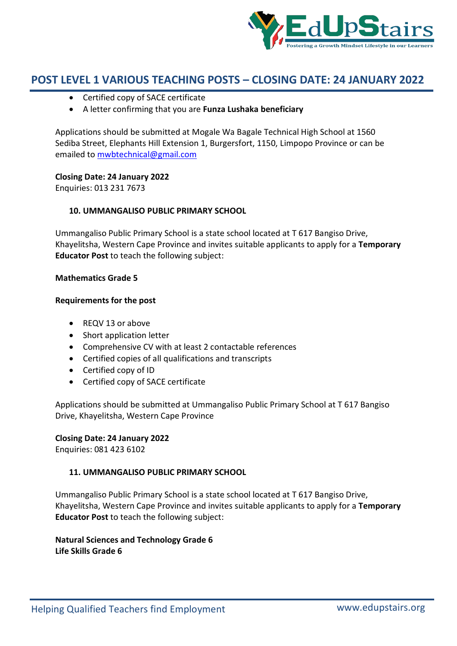

- Certified copy of SACE certificate
- A letter confirming that you are **Funza Lushaka beneficiary**

Applications should be submitted at Mogale Wa Bagale Technical High School at 1560 Sediba Street, Elephants Hill Extension 1, Burgersfort, 1150, Limpopo Province or can be emailed to mwbtechnical@gmail.com

# **Closing Date: 24 January 2022**

Enquiries: 013 231 7673

# **10. UMMANGALISO PUBLIC PRIMARY SCHOOL**

Ummangaliso Public Primary School is a state school located at T 617 Bangiso Drive, Khayelitsha, Western Cape Province and invites suitable applicants to apply for a **Temporary Educator Post** to teach the following subject:

# **Mathematics Grade 5**

#### **Requirements for the post**

- REQV 13 or above
- Short application letter
- Comprehensive CV with at least 2 contactable references
- Certified copies of all qualifications and transcripts
- Certified copy of ID
- Certified copy of SACE certificate

Applications should be submitted at Ummangaliso Public Primary School at T 617 Bangiso Drive, Khayelitsha, Western Cape Province

# **Closing Date: 24 January 2022**

Enquiries: 081 423 6102

# **11. UMMANGALISO PUBLIC PRIMARY SCHOOL**

Ummangaliso Public Primary School is a state school located at T 617 Bangiso Drive, Khayelitsha, Western Cape Province and invites suitable applicants to apply for a **Temporary Educator Post** to teach the following subject:

**Natural Sciences and Technology Grade 6 Life Skills Grade 6**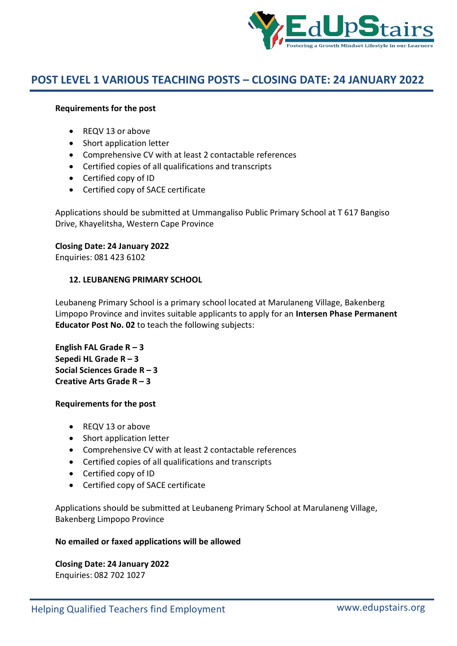

#### **Requirements for the post**

- REQV 13 or above
- Short application letter
- Comprehensive CV with at least 2 contactable references
- Certified copies of all qualifications and transcripts
- Certified copy of ID
- Certified copy of SACE certificate

Applications should be submitted at Ummangaliso Public Primary School at T 617 Bangiso Drive, Khayelitsha, Western Cape Province

#### **Closing Date: 24 January 2022**

Enquiries: 081 423 6102

#### **12. LEUBANENG PRIMARY SCHOOL**

Leubaneng Primary School is a primary school located at Marulaneng Village, Bakenberg Limpopo Province and invites suitable applicants to apply for an **Intersen Phase Permanent Educator Post No. 02** to teach the following subjects:

**English FAL Grade R – 3 Sepedi HL Grade R – 3 Social Sciences Grade R – 3 Creative Arts Grade R – 3**

#### **Requirements for the post**

- REQV 13 or above
- Short application letter
- Comprehensive CV with at least 2 contactable references
- Certified copies of all qualifications and transcripts
- Certified copy of ID
- Certified copy of SACE certificate

Applications should be submitted at Leubaneng Primary School at Marulaneng Village, Bakenberg Limpopo Province

#### **No emailed or faxed applications will be allowed**

**Closing Date: 24 January 2022** Enquiries: 082 702 1027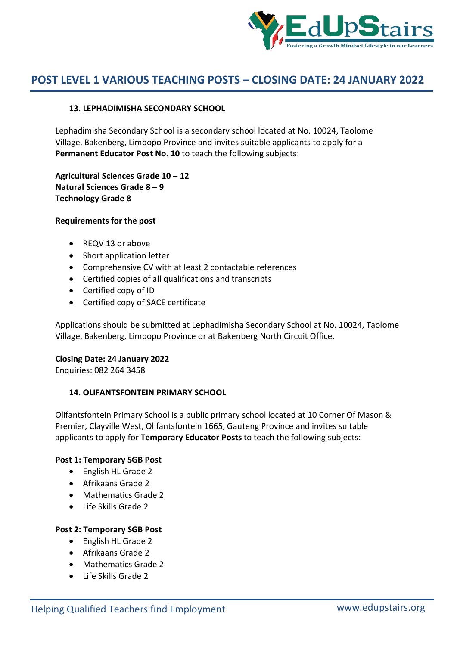

# **13. LEPHADIMISHA SECONDARY SCHOOL**

Lephadimisha Secondary School is a secondary school located at No. 10024, Taolome Village, Bakenberg, Limpopo Province and invites suitable applicants to apply for a **Permanent Educator Post No. 10** to teach the following subjects:

**Agricultural Sciences Grade 10 – 12 Natural Sciences Grade 8 – 9 Technology Grade 8**

#### **Requirements for the post**

- REQV 13 or above
- Short application letter
- Comprehensive CV with at least 2 contactable references
- Certified copies of all qualifications and transcripts
- Certified copy of ID
- Certified copy of SACE certificate

Applications should be submitted at Lephadimisha Secondary School at No. 10024, Taolome Village, Bakenberg, Limpopo Province or at Bakenberg North Circuit Office.

# **Closing Date: 24 January 2022**

Enquiries: 082 264 3458

# **14. OLIFANTSFONTEIN PRIMARY SCHOOL**

Olifantsfontein Primary School is a public primary school located at 10 Corner Of Mason & Premier, Clayville West, Olifantsfontein 1665, Gauteng Province and invites suitable applicants to apply for **Temporary Educator Posts** to teach the following subjects:

#### **Post 1: Temporary SGB Post**

- English HL Grade 2
- Afrikaans Grade 2
- Mathematics Grade 2
- Life Skills Grade 2

# **Post 2: Temporary SGB Post**

- English HL Grade 2
- Afrikaans Grade 2
- Mathematics Grade 2
- Life Skills Grade 2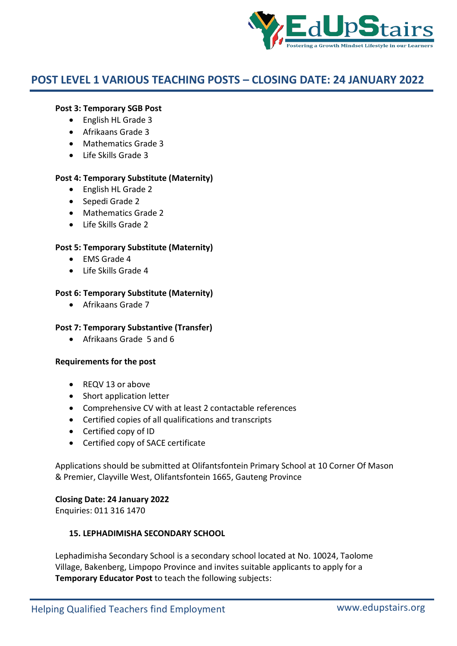

# **Post 3: Temporary SGB Post**

- English HL Grade 3
- Afrikaans Grade 3
- Mathematics Grade 3
- Life Skills Grade 3

# **Post 4: Temporary Substitute (Maternity)**

- English HL Grade 2
- Sepedi Grade 2
- Mathematics Grade 2
- $\bullet$  Life Skills Grade 2

# **Post 5: Temporary Substitute (Maternity)**

- $\bullet$  FMS Grade 4
- Life Skills Grade 4

#### **Post 6: Temporary Substitute (Maternity)**

Afrikaans Grade 7

# **Post 7: Temporary Substantive (Transfer)**

Afrikaans Grade 5 and 6

#### **Requirements for the post**

- REQV 13 or above
- Short application letter
- Comprehensive CV with at least 2 contactable references
- Certified copies of all qualifications and transcripts
- Certified copy of ID
- Certified copy of SACE certificate

Applications should be submitted at Olifantsfontein Primary School at 10 Corner Of Mason & Premier, Clayville West, Olifantsfontein 1665, Gauteng Province

# **Closing Date: 24 January 2022**

Enquiries: 011 316 1470

# **15. LEPHADIMISHA SECONDARY SCHOOL**

Lephadimisha Secondary School is a secondary school located at No. 10024, Taolome Village, Bakenberg, Limpopo Province and invites suitable applicants to apply for a **Temporary Educator Post** to teach the following subjects: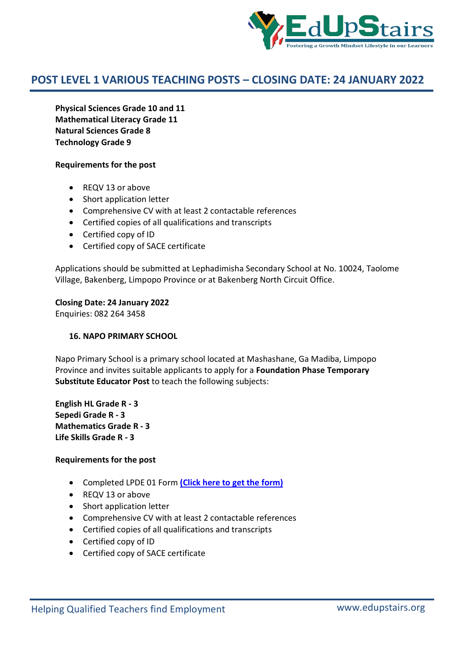

**Physical Sciences Grade 10 and 11 Mathematical Literacy Grade 11 Natural Sciences Grade 8 Technology Grade 9**

#### **Requirements for the post**

- REQV 13 or above
- Short application letter
- Comprehensive CV with at least 2 contactable references
- Certified copies of all qualifications and transcripts
- Certified copy of ID
- Certified copy of SACE certificate

Applications should be submitted at Lephadimisha Secondary School at No. 10024, Taolome Village, Bakenberg, Limpopo Province or at Bakenberg North Circuit Office.

**Closing Date: 24 January 2022**

Enquiries: 082 264 3458

#### **16. NAPO PRIMARY SCHOOL**

Napo Primary School is a primary school located at Mashashane, Ga Madiba, Limpopo Province and invites suitable applicants to apply for a **Foundation Phase Temporary Substitute Educator Post** to teach the following subjects:

**English HL Grade R - 3 Sepedi Grade R - 3 Mathematics Grade R - 3 Life Skills Grade R - 3**

- Completed LPDE 01 Form **(Click here to get the form)**
- REQV 13 or above
- Short application letter
- Comprehensive CV with at least 2 contactable references
- Certified copies of all qualifications and transcripts
- Certified copy of ID
- Certified copy of SACE certificate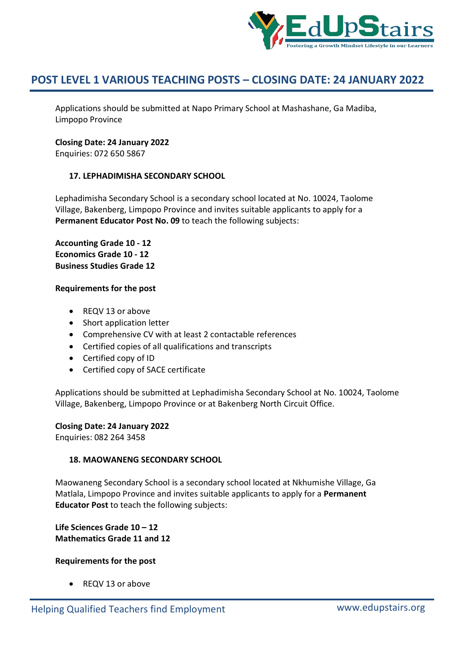

Applications should be submitted at Napo Primary School at Mashashane, Ga Madiba, Limpopo Province

#### **Closing Date: 24 January 2022**

Enquiries: 072 650 5867

# **17. LEPHADIMISHA SECONDARY SCHOOL**

Lephadimisha Secondary School is a secondary school located at No. 10024, Taolome Village, Bakenberg, Limpopo Province and invites suitable applicants to apply for a **Permanent Educator Post No. 09** to teach the following subjects:

**Accounting Grade 10 - 12 Economics Grade 10 - 12 Business Studies Grade 12**

#### **Requirements for the post**

- REQV 13 or above
- Short application letter
- Comprehensive CV with at least 2 contactable references
- Certified copies of all qualifications and transcripts
- Certified copy of ID
- Certified copy of SACE certificate

Applications should be submitted at Lephadimisha Secondary School at No. 10024, Taolome Village, Bakenberg, Limpopo Province or at Bakenberg North Circuit Office.

#### **Closing Date: 24 January 2022**

Enquiries: 082 264 3458

#### **18. MAOWANENG SECONDARY SCHOOL**

Maowaneng Secondary School is a secondary school located at Nkhumishe Village, Ga Matlala, Limpopo Province and invites suitable applicants to apply for a **Permanent Educator Post** to teach the following subjects:

**Life Sciences Grade 10 – 12 Mathematics Grade 11 and 12**

# **Requirements for the post**

REQV 13 or above